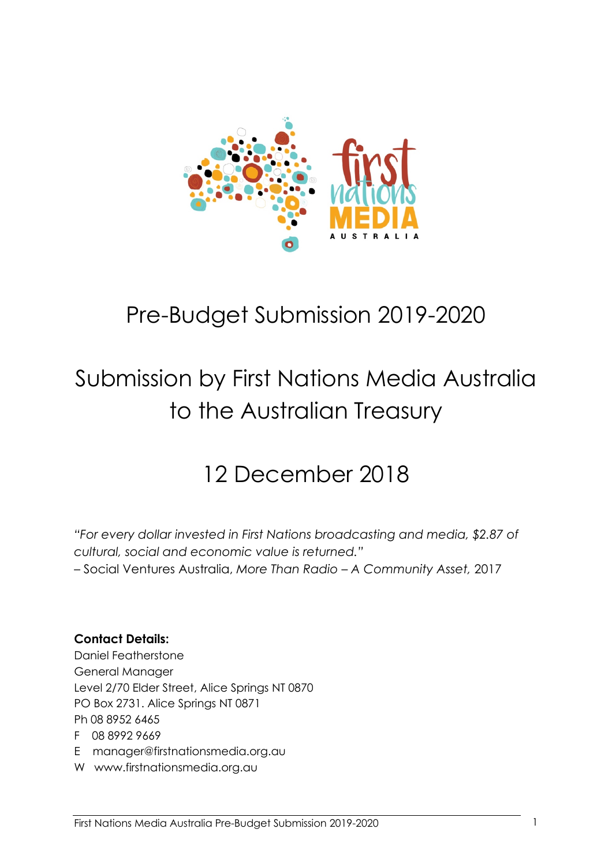

# Pre-Budget Submission 2019-2020

# Submission by First Nations Media Australia to the Australian Treasury

# 12 December 2018

*"For every dollar invested in First Nations broadcasting and media, \$2.87 of cultural, social and economic value is returned."*  – Social Ventures Australia, *More Than Radio – A Community Asset,* 2017

### **Contact Details:**

Daniel Featherstone General Manager Level 2/70 Elder Street, Alice Springs NT 0870 PO Box 2731. Alice Springs NT 0871 Ph 08 8952 6465 F 08 8992 9669 E manager@firstnationsmedia.org.au

W www.firstnationsmedia.org.au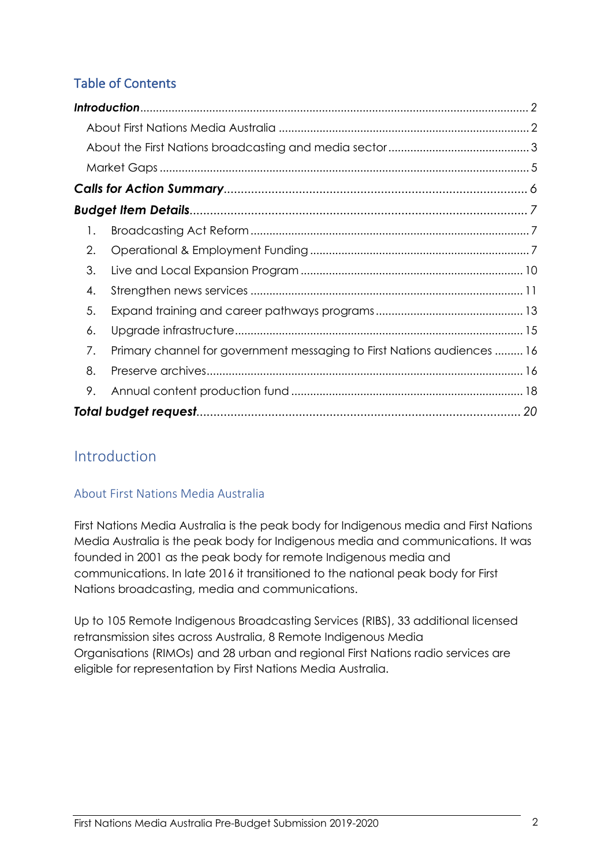## Table of Contents

| 1.                                                                            |  |
|-------------------------------------------------------------------------------|--|
| 2.                                                                            |  |
| 3.                                                                            |  |
| 4.                                                                            |  |
| 5.                                                                            |  |
| 6.                                                                            |  |
| Primary channel for government messaging to First Nations audiences  16<br>7. |  |
| 8.                                                                            |  |
| 9.                                                                            |  |
|                                                                               |  |

## Introduction

### About First Nations Media Australia

First Nations Media Australia is the peak body for Indigenous media and First Nations Media Australia is the peak body for Indigenous media and communications. It was founded in 2001 as the peak body for remote Indigenous media and communications. In late 2016 it transitioned to the national peak body for First Nations broadcasting, media and communications.

Up to 105 Remote Indigenous Broadcasting Services (RIBS), 33 additional licensed retransmission sites across Australia, 8 Remote Indigenous Media Organisations (RIMOs) and 28 urban and regional First Nations radio services are eligible for representation by First Nations Media Australia.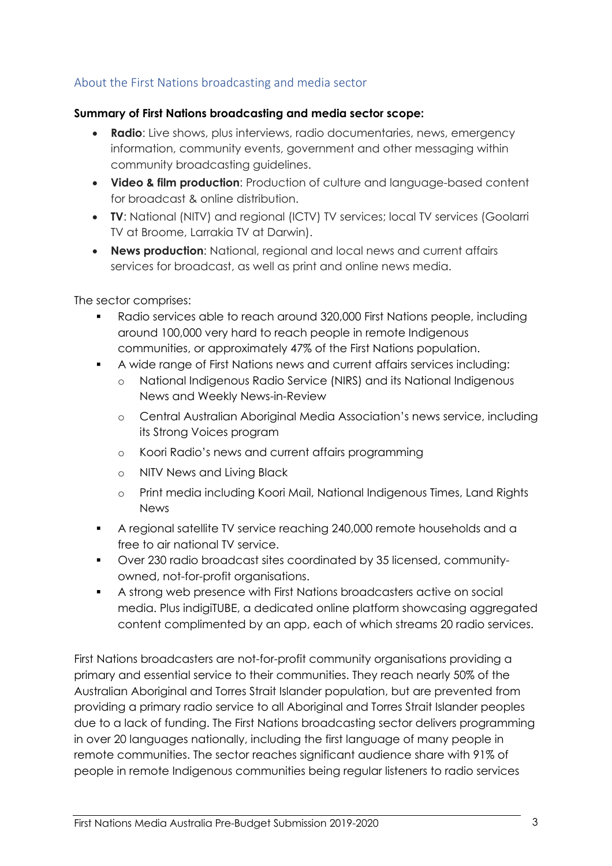### About the First Nations broadcasting and media sector

### **Summary of First Nations broadcasting and media sector scope:**

- **Radio**: Live shows, plus interviews, radio documentaries, news, emergency information, community events, government and other messaging within community broadcasting guidelines.
- **Video & film production**: Production of culture and language-based content for broadcast & online distribution.
- **TV**: National (NITV) and regional (ICTV) TV services; local TV services (Goolarri TV at Broome, Larrakia TV at Darwin).
- **News production**: National, regional and local news and current affairs services for broadcast, as well as print and online news media.

The sector comprises:

- § Radio services able to reach around 320,000 First Nations people, including around 100,000 very hard to reach people in remote Indigenous communities, or approximately 47% of the First Nations population.
- § A wide range of First Nations news and current affairs services including:
	- o National Indigenous Radio Service (NIRS) and its National Indigenous News and Weekly News-in-Review
	- o Central Australian Aboriginal Media Association's news service, including its Strong Voices program
	- o Koori Radio's news and current affairs programming
	- o NITV News and Living Black
	- o Print media including Koori Mail, National Indigenous Times, Land Rights News
- § A regional satellite TV service reaching 240,000 remote households and a free to air national TV service.
- § Over 230 radio broadcast sites coordinated by 35 licensed, communityowned, not-for-profit organisations.
- § A strong web presence with First Nations broadcasters active on social media. Plus indigiTUBE, a dedicated online platform showcasing aggregated content complimented by an app, each of which streams 20 radio services.

First Nations broadcasters are not-for-profit community organisations providing a primary and essential service to their communities. They reach nearly 50% of the Australian Aboriginal and Torres Strait Islander population, but are prevented from providing a primary radio service to all Aboriginal and Torres Strait Islander peoples due to a lack of funding. The First Nations broadcasting sector delivers programming in over 20 languages nationally, including the first language of many people in remote communities. The sector reaches significant audience share with 91% of people in remote Indigenous communities being regular listeners to radio services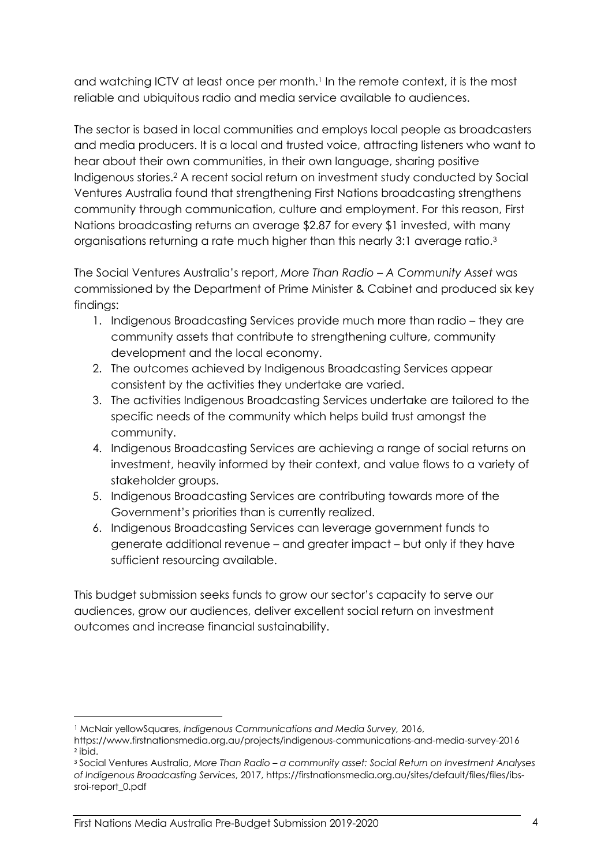and watching ICTV at least once per month. <sup>1</sup> In the remote context, it is the most reliable and ubiquitous radio and media service available to audiences.

The sector is based in local communities and employs local people as broadcasters and media producers. It is a local and trusted voice, attracting listeners who want to hear about their own communities, in their own language, sharing positive Indigenous stories. <sup>2</sup> A recent social return on investment study conducted by Social Ventures Australia found that strengthening First Nations broadcasting strengthens community through communication, culture and employment. For this reason, First Nations broadcasting returns an average \$2.87 for every \$1 invested, with many organisations returning a rate much higher than this nearly 3:1 average ratio.3

The Social Ventures Australia's report, *More Than Radio – A Community Asset* was commissioned by the Department of Prime Minister & Cabinet and produced six key findings:

- 1. Indigenous Broadcasting Services provide much more than radio they are community assets that contribute to strengthening culture, community development and the local economy.
- 2. The outcomes achieved by Indigenous Broadcasting Services appear consistent by the activities they undertake are varied.
- 3. The activities Indigenous Broadcasting Services undertake are tailored to the specific needs of the community which helps build trust amongst the community.
- 4. Indigenous Broadcasting Services are achieving a range of social returns on investment, heavily informed by their context, and value flows to a variety of stakeholder groups.
- 5. Indigenous Broadcasting Services are contributing towards more of the Government's priorities than is currently realized.
- 6. Indigenous Broadcasting Services can leverage government funds to generate additional revenue – and greater impact – but only if they have sufficient resourcing available.

This budget submission seeks funds to grow our sector's capacity to serve our audiences, grow our audiences, deliver excellent social return on investment outcomes and increase financial sustainability.

 $\overline{a}$ 

<sup>1</sup> McNair yellowSquares, *Indigenous Communications and Media Survey,* 2016,

https://www.firstnationsmedia.org.au/projects/indigenous-communications-and-media-survey-2016 <sup>2</sup> ibid.

<sup>3</sup> Social Ventures Australia, *More Than Radio – a community asset: Social Return on Investment Analyses of Indigenous Broadcasting Services*, 2017, https://firstnationsmedia.org.au/sites/default/files/files/ibssroi-report\_0.pdf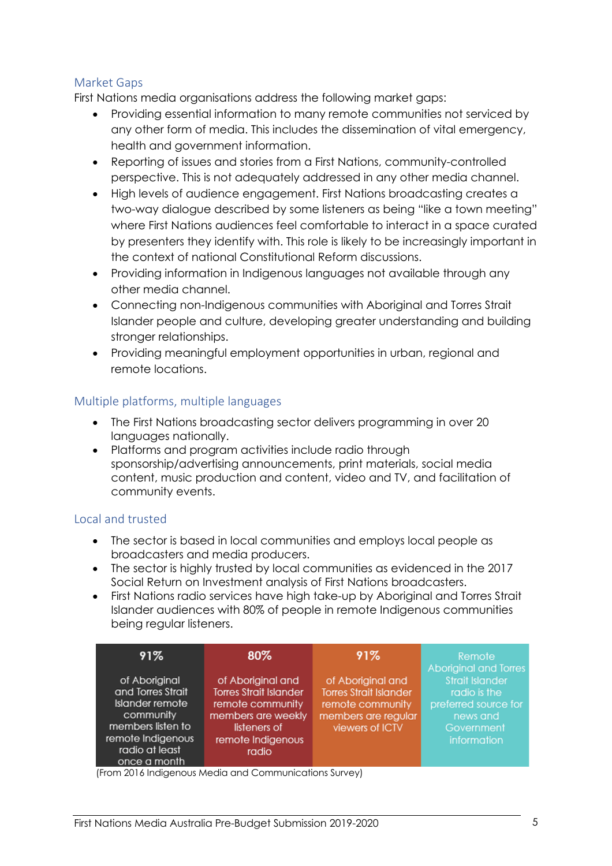### Market Gaps

First Nations media organisations address the following market gaps:

- Providing essential information to many remote communities not serviced by any other form of media. This includes the dissemination of vital emergency, health and government information.
- Reporting of issues and stories from a First Nations, community-controlled perspective. This is not adequately addressed in any other media channel.
- High levels of audience engagement. First Nations broadcasting creates a two-way dialogue described by some listeners as being "like a town meeting" where First Nations audiences feel comfortable to interact in a space curated by presenters they identify with. This role is likely to be increasingly important in the context of national Constitutional Reform discussions.
- Providing information in Indigenous languages not available through any other media channel.
- Connecting non-Indigenous communities with Aboriginal and Torres Strait Islander people and culture, developing greater understanding and building stronger relationships.
- Providing meaningful employment opportunities in urban, regional and remote locations.

### Multiple platforms, multiple languages

- The First Nations broadcasting sector delivers programming in over 20 languages nationally.
- Platforms and program activities include radio through sponsorship/advertising announcements, print materials, social media content, music production and content, video and TV, and facilitation of community events.

### Local and trusted

- The sector is based in local communities and employs local people as broadcasters and media producers.
- The sector is highly trusted by local communities as evidenced in the 2017 Social Return on Investment analysis of First Nations broadcasters.
- First Nations radio services have high take-up by Aboriginal and Torres Strait Islander audiences with 80% of people in remote Indigenous communities being regular listeners.

| 91%                                                                                                                                                   | 80%                                                                                                                                        | 91%                                                                                                              | Remote<br><b>Aboriginal and Torres</b>                                                                  |
|-------------------------------------------------------------------------------------------------------------------------------------------------------|--------------------------------------------------------------------------------------------------------------------------------------------|------------------------------------------------------------------------------------------------------------------|---------------------------------------------------------------------------------------------------------|
| of Aboriginal<br>and Torres Strait<br><b>Islander remote</b><br>community<br>members listen to<br>remote Indigenous<br>radio at least<br>once a month | of Aboriginal and<br><b>Torres Strait Islander</b><br>remote community<br>members are weekly<br>listeners of<br>remote Indigenous<br>radio | of Aboriginal and<br><b>Torres Strait Islander</b><br>remote community<br>members are regular<br>viewers of ICTV | <b>Strait Islander</b><br>radio is the<br>preferred source for<br>news and<br>Government<br>information |

(From 2016 Indigenous Media and Communications Survey)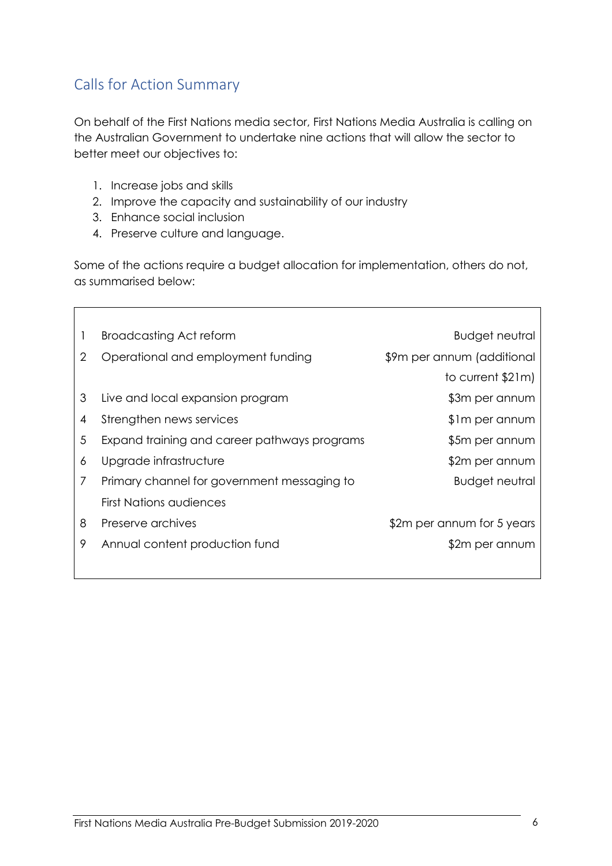# Calls for Action Summary

On behalf of the First Nations media sector, First Nations Media Australia is calling on the Australian Government to undertake nine actions that will allow the sector to better meet our objectives to:

- 1. Increase jobs and skills
- 2. Improve the capacity and sustainability of our industry
- 3. Enhance social inclusion

 $\mathsf{r}$ 

4. Preserve culture and language.

Some of the actions require a budget allocation for implementation, others do not, as summarised below:

|   | <b>Broadcasting Act reform</b>               | <b>Budget neutral</b>      |
|---|----------------------------------------------|----------------------------|
| 2 | Operational and employment funding           | \$9m per annum (additional |
|   |                                              | to current \$21m)          |
| 3 | Live and local expansion program             | \$3m per annum             |
| 4 | Strengthen news services                     | \$1m per annum             |
| 5 | Expand training and career pathways programs | \$5m per annum             |
| 6 | Upgrade infrastructure                       | \$2m per annum             |
| 7 | Primary channel for government messaging to  | <b>Budget neutral</b>      |
|   | <b>First Nations audiences</b>               |                            |
| 8 | Preserve archives                            | \$2m per annum for 5 years |
| 9 | Annual content production fund               | \$2m per annum             |
|   |                                              |                            |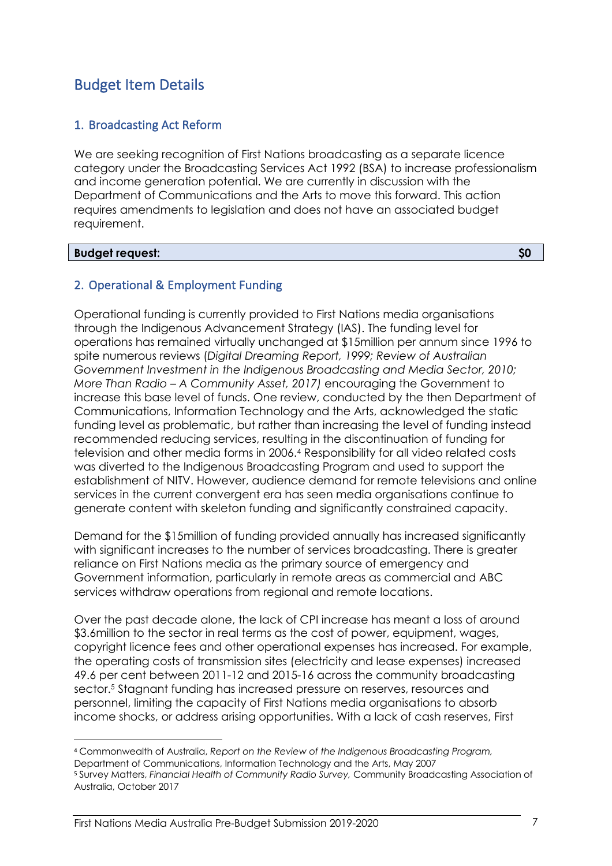## Budget Item Details

### 1. Broadcasting Act Reform

We are seeking recognition of First Nations broadcasting as a separate licence category under the Broadcasting Services Act 1992 (BSA) to increase professionalism and income generation potential. We are currently in discussion with the Department of Communications and the Arts to move this forward. This action requires amendments to legislation and does not have an associated budget requirement.

### **Budget request:**  $$0$

### 2. Operational & Employment Funding

Operational funding is currently provided to First Nations media organisations through the Indigenous Advancement Strategy (IAS). The funding level for operations has remained virtually unchanged at \$15million per annum since 1996 to spite numerous reviews (*Digital Dreaming Report, 1999; Review of Australian Government Investment in the Indigenous Broadcasting and Media Sector, 2010; More Than Radio – A Community Asset, 2017)* encouraging the Government to increase this base level of funds. One review, conducted by the then Department of Communications, Information Technology and the Arts, acknowledged the static funding level as problematic, but rather than increasing the level of funding instead recommended reducing services, resulting in the discontinuation of funding for television and other media forms in 2006.4 Responsibility for all video related costs was diverted to the Indigenous Broadcasting Program and used to support the establishment of NITV. However, audience demand for remote televisions and online services in the current convergent era has seen media organisations continue to generate content with skeleton funding and significantly constrained capacity.

Demand for the \$15million of funding provided annually has increased significantly with significant increases to the number of services broadcasting. There is greater reliance on First Nations media as the primary source of emergency and Government information, particularly in remote areas as commercial and ABC services withdraw operations from regional and remote locations.

Over the past decade alone, the lack of CPI increase has meant a loss of around \$3.6million to the sector in real terms as the cost of power, equipment, wages, copyright licence fees and other operational expenses has increased. For example, the operating costs of transmission sites (electricity and lease expenses) increased 49.6 per cent between 2011-12 and 2015-16 across the community broadcasting sector. <sup>5</sup> Stagnant funding has increased pressure on reserves, resources and personnel, limiting the capacity of First Nations media organisations to absorb income shocks, or address arising opportunities. With a lack of cash reserves, First

 <sup>4</sup> Commonwealth of Australia, *Report on the Review of the Indigenous Broadcasting Program,*  Department of Communications, Information Technology and the Arts, May 2007 <sup>5</sup> Survey Matters, *Financial Health of Community Radio Survey,* Community Broadcasting Association of Australia, October 2017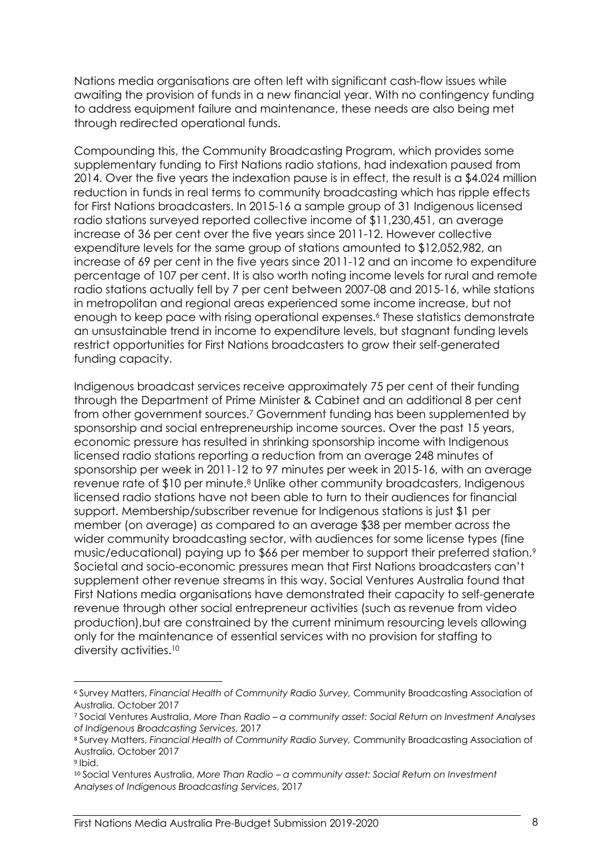Nations media organisations are often left with significant cash-flow issues while awaiting the provision of funds in a new financial year. With no contingency funding to address equipment failure and maintenance, these needs are also being met through redirected operational funds.

Compounding this, the Community Broadcasting Program, which provides some supplementary funding to First Nations radio stations, had indexation paused from 2014. Over the five years the indexation pause is in effect, the result is a \$4.024 million reduction in funds in real terms to community broadcasting which has ripple effects for First Nations broadcasters. In 2015-16 a sample group of 31 Indigenous licensed radio stations surveyed reported collective income of \$11,230,451, an average increase of 36 per cent over the five years since 2011-12. However collective expenditure levels for the same group of stations amounted to \$12,052,982, an increase of 69 per cent in the five years since 2011-12 and an income to expenditure percentage of 107 per cent. It is also worth noting income levels for rural and remote radio stations actually fell by 7 per cent between 2007-08 and 2015-16, while stations in metropolitan and regional areas experienced some income increase, but not enough to keep pace with rising operational expenses.6 These statistics demonstrate an unsustainable trend in income to expenditure levels, but stagnant funding levels restrict opportunities for First Nations broadcasters to grow their self-generated funding capacity.

Indigenous broadcast services receive approximately 75 per cent of their funding through the Department of Prime Minister & Cabinet and an additional 8 per cent from other government sources.7 Government funding has been supplemented by sponsorship and social entrepreneurship income sources. Over the past 15 years, economic pressure has resulted in shrinking sponsorship income with Indigenous licensed radio stations reporting a reduction from an average 248 minutes of sponsorship per week in 2011-12 to 97 minutes per week in 2015-16, with an average revenue rate of \$10 per minute.<sup>8</sup> Unlike other community broadcasters, Indigenous licensed radio stations have not been able to turn to their audiences for financial support. Membership/subscriber revenue for Indigenous stations is just \$1 per member (on average) as compared to an average \$38 per member across the wider community broadcasting sector, with audiences for some license types (fine music/educational) paying up to \$66 per member to support their preferred station.9 Societal and socio-economic pressures mean that First Nations broadcasters can't supplement other revenue streams in this way. Social Ventures Australia found that First Nations media organisations have demonstrated their capacity to self-generate revenue through other social entrepreneur activities (such as revenue from video production),but are constrained by the current minimum resourcing levels allowing only for the maintenance of essential services with no provision for staffing to diversity activities.<sup>10</sup>

 <sup>6</sup> Survey Matters, *Financial Health of Community Radio Survey,* Community Broadcasting Association of Australia, October 2017

<sup>7</sup> Social Ventures Australia, *More Than Radio – a community asset: Social Return on Investment Analyses of Indigenous Broadcasting Services*, 2017

<sup>8</sup> Survey Matters, *Financial Health of Community Radio Survey,* Community Broadcasting Association of Australia, October 2017

<sup>9</sup> Ibid.

<sup>10</sup> Social Ventures Australia, *More Than Radio – a community asset: Social Return on Investment Analyses of Indigenous Broadcasting Services*, 2017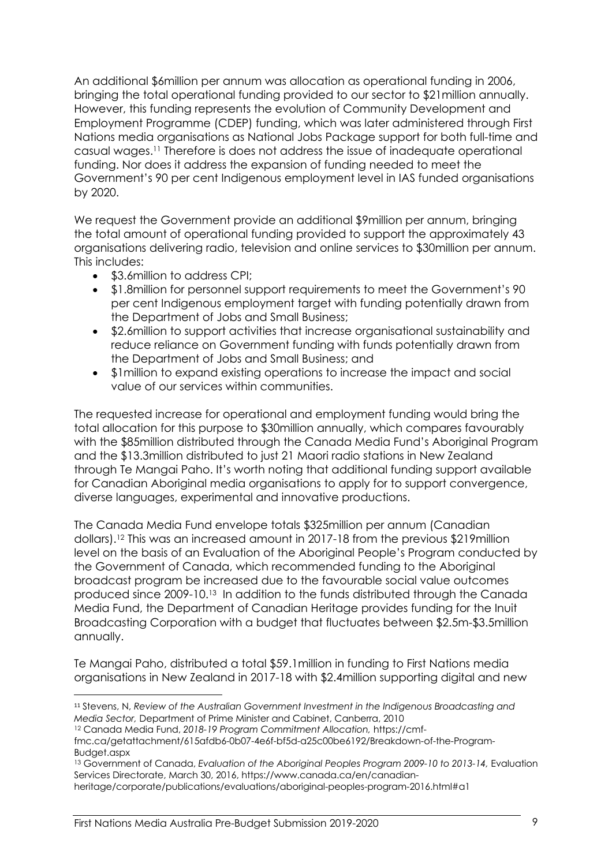An additional \$6million per annum was allocation as operational funding in 2006, bringing the total operational funding provided to our sector to \$21million annually. However, this funding represents the evolution of Community Development and Employment Programme (CDEP) funding, which was later administered through First Nations media organisations as National Jobs Package support for both full-time and casual wages.11 Therefore is does not address the issue of inadequate operational funding. Nor does it address the expansion of funding needed to meet the Government's 90 per cent Indigenous employment level in IAS funded organisations by 2020.

We request the Government provide an additional \$9million per annum, bringing the total amount of operational funding provided to support the approximately 43 organisations delivering radio, television and online services to \$30million per annum. This includes:

- \$3.6million to address CPI;
- \$1.8million for personnel support requirements to meet the Government's 90 per cent Indigenous employment target with funding potentially drawn from the Department of Jobs and Small Business;
- \$2.6million to support activities that increase organisational sustainability and reduce reliance on Government funding with funds potentially drawn from the Department of Jobs and Small Business; and
- \$1million to expand existing operations to increase the impact and social value of our services within communities.

The requested increase for operational and employment funding would bring the total allocation for this purpose to \$30million annually, which compares favourably with the \$85million distributed through the Canada Media Fund's Aboriginal Program and the \$13.3million distributed to just 21 Maori radio stations in New Zealand through Te Mangai Paho. It's worth noting that additional funding support available for Canadian Aboriginal media organisations to apply for to support convergence, diverse languages, experimental and innovative productions.

The Canada Media Fund envelope totals \$325million per annum (Canadian dollars). <sup>12</sup> This was an increased amount in 2017-18 from the previous \$219million level on the basis of an Evaluation of the Aboriginal People's Program conducted by the Government of Canada, which recommended funding to the Aboriginal broadcast program be increased due to the favourable social value outcomes produced since 2009-10.13 In addition to the funds distributed through the Canada Media Fund, the Department of Canadian Heritage provides funding for the Inuit Broadcasting Corporation with a budget that fluctuates between \$2.5m-\$3.5million annually.

Te Mangai Paho, distributed a total \$59.1million in funding to First Nations media organisations in New Zealand in 2017-18 with \$2.4million supporting digital and new

 <sup>11</sup> Stevens, N, *Review of the Australian Government Investment in the Indigenous Broadcasting and Media Sector,* Department of Prime Minister and Cabinet, Canberra, 2010

<sup>12</sup> Canada Media Fund, *2018-19 Program Commitment Allocation,* https://cmf-

fmc.ca/getattachment/615afdb6-0b07-4e6f-bf5d-a25c00be6192/Breakdown-of-the-Program-Budget.aspx

<sup>&</sup>lt;sup>13</sup> Government of Canada, *Evaluation of the Aboriginal Peoples Program 2009-10 to 2013-14*, Evaluation Services Directorate, March 30, 2016, https://www.canada.ca/en/canadian-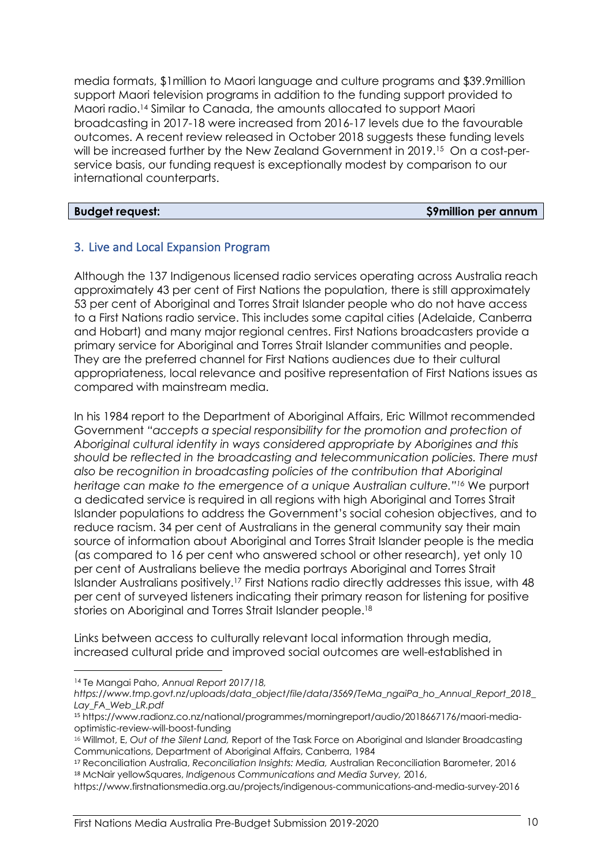media formats, \$1million to Maori language and culture programs and \$39.9million support Maori television programs in addition to the funding support provided to Maori radio.14 Similar to Canada, the amounts allocated to support Maori broadcasting in 2017-18 were increased from 2016-17 levels due to the favourable outcomes. A recent review released in October 2018 suggests these funding levels will be increased further by the New Zealand Government in 2019.<sup>15</sup> On a cost-perservice basis, our funding request is exceptionally modest by comparison to our international counterparts.

**Budget request: \$9million per annum**

### 3. Live and Local Expansion Program

Although the 137 Indigenous licensed radio services operating across Australia reach approximately 43 per cent of First Nations the population, there is still approximately 53 per cent of Aboriginal and Torres Strait Islander people who do not have access to a First Nations radio service. This includes some capital cities (Adelaide, Canberra and Hobart) and many major regional centres. First Nations broadcasters provide a primary service for Aboriginal and Torres Strait Islander communities and people. They are the preferred channel for First Nations audiences due to their cultural appropriateness, local relevance and positive representation of First Nations issues as compared with mainstream media.

In his 1984 report to the Department of Aboriginal Affairs, Eric Willmot recommended Government *"accepts a special responsibility for the promotion and protection of Aboriginal cultural identity in ways considered appropriate by Aborigines and this should be reflected in the broadcasting and telecommunication policies. There must also be recognition in broadcasting policies of the contribution that Aboriginal heritage can make to the emergence of a unique Australian culture."16* We purport a dedicated service is required in all regions with high Aboriginal and Torres Strait Islander populations to address the Government's social cohesion objectives, and to reduce racism. 34 per cent of Australians in the general community say their main source of information about Aboriginal and Torres Strait Islander people is the media (as compared to 16 per cent who answered school or other research), yet only 10 per cent of Australians believe the media portrays Aboriginal and Torres Strait Islander Australians positively.<sup>17</sup> First Nations radio directly addresses this issue, with 48 per cent of surveyed listeners indicating their primary reason for listening for positive stories on Aboriginal and Torres Strait Islander people.18

Links between access to culturally relevant local information through media, increased cultural pride and improved social outcomes are well-established in

<sup>14</sup> Te Mangai Paho, *Annual Report 2017/18,* 

 $\overline{a}$ 

*https://www.tmp.govt.nz/uploads/data\_object/file/data/3569/TeMa\_ngaiPa\_ho\_Annual\_Report\_2018\_ Lay\_FA\_Web\_LR.pdf*

<sup>15</sup> https://www.radionz.co.nz/national/programmes/morningreport/audio/2018667176/maori-mediaoptimistic-review-will-boost-funding

<sup>16</sup> Willmot, E, *Out of the Silent Land,* Report of the Task Force on Aboriginal and Islander Broadcasting Communications, Department of Aboriginal Affairs, Canberra, 1984

<sup>17</sup> Reconciliation Australia, *Reconciliation Insights: Media,* Australian Reconciliation Barometer, 2016 <sup>18</sup> McNair yellowSquares, *Indigenous Communications and Media Survey,* 2016,

https://www.firstnationsmedia.org.au/projects/indigenous-communications-and-media-survey-2016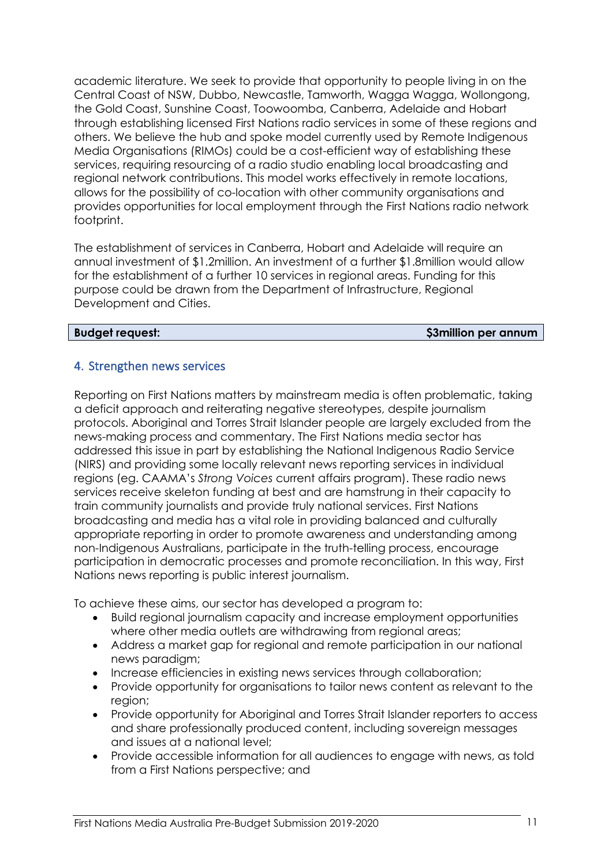academic literature. We seek to provide that opportunity to people living in on the Central Coast of NSW, Dubbo, Newcastle, Tamworth, Wagga Wagga, Wollongong, the Gold Coast, Sunshine Coast, Toowoomba, Canberra, Adelaide and Hobart through establishing licensed First Nations radio services in some of these regions and others. We believe the hub and spoke model currently used by Remote Indigenous Media Organisations (RIMOs) could be a cost-efficient way of establishing these services, requiring resourcing of a radio studio enabling local broadcasting and regional network contributions. This model works effectively in remote locations, allows for the possibility of co-location with other community organisations and provides opportunities for local employment through the First Nations radio network footprint.

The establishment of services in Canberra, Hobart and Adelaide will require an annual investment of \$1.2million. An investment of a further \$1.8million would allow for the establishment of a further 10 services in regional areas. Funding for this purpose could be drawn from the Department of Infrastructure, Regional Development and Cities.

**Budget request:**  $\qquad \qquad$  **Budget request:**  $\qquad \qquad$  **S3million per annum** 

### 4. Strengthen news services

Reporting on First Nations matters by mainstream media is often problematic, taking a deficit approach and reiterating negative stereotypes, despite journalism protocols. Aboriginal and Torres Strait Islander people are largely excluded from the news-making process and commentary. The First Nations media sector has addressed this issue in part by establishing the National Indigenous Radio Service (NIRS) and providing some locally relevant news reporting services in individual regions (eg. CAAMA's *Strong Voices* current affairs program). These radio news services receive skeleton funding at best and are hamstrung in their capacity to train community journalists and provide truly national services. First Nations broadcasting and media has a vital role in providing balanced and culturally appropriate reporting in order to promote awareness and understanding among non-Indigenous Australians, participate in the truth-telling process, encourage participation in democratic processes and promote reconciliation. In this way, First Nations news reporting is public interest journalism.

To achieve these aims, our sector has developed a program to:

- Build regional journalism capacity and increase employment opportunities where other media outlets are withdrawing from regional areas;
- Address a market gap for regional and remote participation in our national news paradigm;
- Increase efficiencies in existing news services through collaboration;
- Provide opportunity for organisations to tailor news content as relevant to the region;
- Provide opportunity for Aboriginal and Torres Strait Islander reporters to access and share professionally produced content, including sovereign messages and issues at a national level;
- Provide accessible information for all audiences to engage with news, as told from a First Nations perspective; and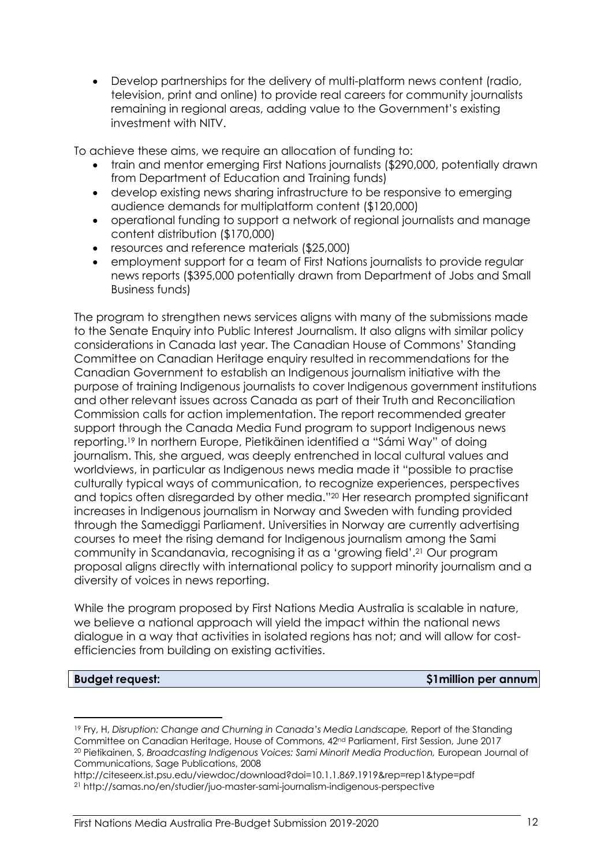• Develop partnerships for the delivery of multi-platform news content (radio, television, print and online) to provide real careers for community journalists remaining in regional areas, adding value to the Government's existing investment with NITV.

To achieve these aims, we require an allocation of funding to:

- train and mentor emerging First Nations journalists (\$290,000, potentially drawn from Department of Education and Training funds)
- develop existing news sharing infrastructure to be responsive to emerging audience demands for multiplatform content (\$120,000)
- operational funding to support a network of regional journalists and manage content distribution (\$170,000)
- resources and reference materials (\$25,000)
- employment support for a team of First Nations journalists to provide regular news reports (\$395,000 potentially drawn from Department of Jobs and Small Business funds)

The program to strengthen news services aligns with many of the submissions made to the Senate Enquiry into Public Interest Journalism. It also aligns with similar policy considerations in Canada last year. The Canadian House of Commons' Standing Committee on Canadian Heritage enquiry resulted in recommendations for the Canadian Government to establish an Indigenous journalism initiative with the purpose of training Indigenous journalists to cover Indigenous government institutions and other relevant issues across Canada as part of their Truth and Reconciliation Commission calls for action implementation. The report recommended greater support through the Canada Media Fund program to support Indigenous news reporting.19 In northern Europe, Pietikäinen identified a "Sámi Way" of doing journalism. This, she argued, was deeply entrenched in local cultural values and worldviews, in particular as Indigenous news media made it "possible to practise culturally typical ways of communication, to recognize experiences, perspectives and topics often disregarded by other media."20 Her research prompted significant increases in Indigenous journalism in Norway and Sweden with funding provided through the Samediggi Parliament. Universities in Norway are currently advertising courses to meet the rising demand for Indigenous journalism among the Sami community in Scandanavia, recognising it as a 'growing field'.21 Our program proposal aligns directly with international policy to support minority journalism and a diversity of voices in news reporting.

While the program proposed by First Nations Media Australia is scalable in nature, we believe a national approach will yield the impact within the national news dialogue in a way that activities in isolated regions has not; and will allow for costefficiencies from building on existing activities.

 $\overline{a}$ 

**Budget request:**  $\blacksquare$ 

First Nations Media Australia Pre-Budget Submission 2019-2020 12

<sup>19</sup> Fry, H, *Disruption: Change and Churning in Canada's Media Landscape,* Report of the Standing Committee on Canadian Heritage, House of Commons, 42nd Parliament, First Session, June 2017 <sup>20</sup> Pietikainen, S, *Broadcasting Indigenous Voices: Sami Minorit Media Production,* European Journal of Communications, Sage Publications, 2008

http://citeseerx.ist.psu.edu/viewdoc/download?doi=10.1.1.869.1919&rep=rep1&type=pdf <sup>21</sup> http://samas.no/en/studier/juo-master-sami-journalism-indigenous-perspective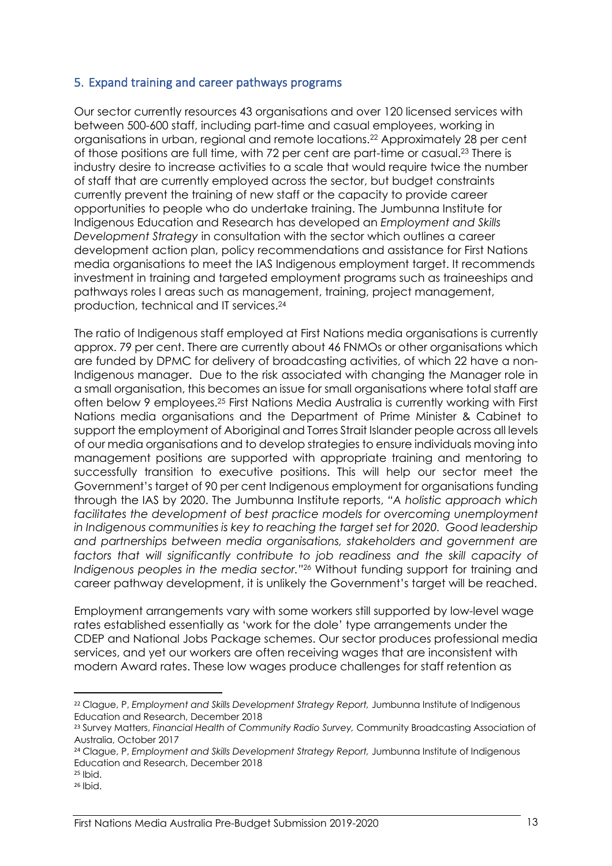### 5. Expand training and career pathways programs

Our sector currently resources 43 organisations and over 120 licensed services with between 500-600 staff, including part-time and casual employees, working in organisations in urban, regional and remote locations.22 Approximately 28 per cent of those positions are full time, with 72 per cent are part-time or casual.23 There is industry desire to increase activities to a scale that would require twice the number of staff that are currently employed across the sector, but budget constraints currently prevent the training of new staff or the capacity to provide career opportunities to people who do undertake training. The Jumbunna Institute for Indigenous Education and Research has developed an *Employment and Skills Development Strategy* in consultation with the sector which outlines a career development action plan, policy recommendations and assistance for First Nations media organisations to meet the IAS Indigenous employment target. It recommends investment in training and targeted employment programs such as traineeships and pathways roles I areas such as management, training, project management, production, technical and IT services.24

The ratio of Indigenous staff employed at First Nations media organisations is currently approx. 79 per cent. There are currently about 46 FNMOs or other organisations which are funded by DPMC for delivery of broadcasting activities, of which 22 have a non-Indigenous manager. Due to the risk associated with changing the Manager role in a small organisation, this becomes an issue for small organisations where total staff are often below 9 employees.25 First Nations Media Australia is currently working with First Nations media organisations and the Department of Prime Minister & Cabinet to support the employment of Aboriginal and Torres Strait Islander people across all levels of our media organisations and to develop strategies to ensure individuals moving into management positions are supported with appropriate training and mentoring to successfully transition to executive positions. This will help our sector meet the Government's target of 90 per cent Indigenous employment for organisations funding through the IAS by 2020. The Jumbunna Institute reports, *"A holistic approach which*  facilitates the development of best practice models for overcoming unemployment *in Indigenous communities is key to reaching the target set for 2020. Good leadership and partnerships between media organisations, stakeholders and government are*  factors that will significantly contribute to job readiness and the skill capacity of *Indigenous peoples in the media sector."26* Without funding support for training and career pathway development, it is unlikely the Government's target will be reached.

Employment arrangements vary with some workers still supported by low-level wage rates established essentially as 'work for the dole' type arrangements under the CDEP and National Jobs Package schemes. Our sector produces professional media services, and yet our workers are often receiving wages that are inconsistent with modern Award rates. These low wages produce challenges for staff retention as

<sup>&</sup>lt;sup>22</sup> Clague, P, *Employment and Skills Development Strategy Report*, Jumbunna Institute of Indigenous Education and Research, December 2018

<sup>23</sup> Survey Matters, *Financial Health of Community Radio Survey,* Community Broadcasting Association of Australia, October 2017

<sup>24</sup> Clague, P, *Employment and Skills Development Strategy Report,* Jumbunna Institute of Indigenous Education and Research, December 2018

<sup>25</sup> Ibid.

<sup>26</sup> Ibid.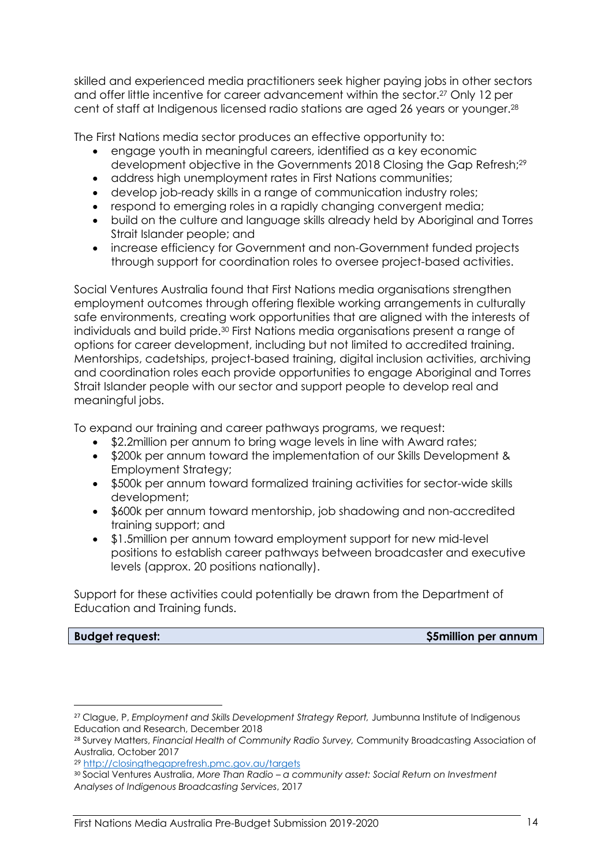skilled and experienced media practitioners seek higher paying jobs in other sectors and offer little incentive for career advancement within the sector. <sup>27</sup> Only 12 per cent of staff at Indigenous licensed radio stations are aged 26 years or younger.28

The First Nations media sector produces an effective opportunity to:

- engage youth in meaningful careers, identified as a key economic development objective in the Governments 2018 Closing the Gap Refresh; 29
- address high unemployment rates in First Nations communities;
- develop job-ready skills in a range of communication industry roles;
- respond to emerging roles in a rapidly changing convergent media;
- build on the culture and language skills already held by Aboriginal and Torres Strait Islander people; and
- increase efficiency for Government and non-Government funded projects through support for coordination roles to oversee project-based activities.

Social Ventures Australia found that First Nations media organisations strengthen employment outcomes through offering flexible working arrangements in culturally safe environments, creating work opportunities that are aligned with the interests of individuals and build pride.30 First Nations media organisations present a range of options for career development, including but not limited to accredited training. Mentorships, cadetships, project-based training, digital inclusion activities, archiving and coordination roles each provide opportunities to engage Aboriginal and Torres Strait Islander people with our sector and support people to develop real and meaningful jobs.

To expand our training and career pathways programs, we request:

- \$2.2million per annum to bring wage levels in line with Award rates;
- \$200k per annum toward the implementation of our Skills Development & Employment Strategy;
- \$500k per annum toward formalized training activities for sector-wide skills development;
- \$600k per annum toward mentorship, job shadowing and non-accredited training support; and
- \$1.5million per annum toward employment support for new mid-level positions to establish career pathways between broadcaster and executive levels (approx. 20 positions nationally).

Support for these activities could potentially be drawn from the Department of Education and Training funds.

**Budget request: \$5million per annum**

 <sup>27</sup> Clague, P, *Employment and Skills Development Strategy Report,* Jumbunna Institute of Indigenous Education and Research, December 2018

<sup>28</sup> Survey Matters, *Financial Health of Community Radio Survey,* Community Broadcasting Association of Australia, October 2017

<sup>29</sup> http://closingthegaprefresh.pmc.gov.au/targets

<sup>30</sup> Social Ventures Australia, *More Than Radio – a community asset: Social Return on Investment Analyses of Indigenous Broadcasting Services*, 2017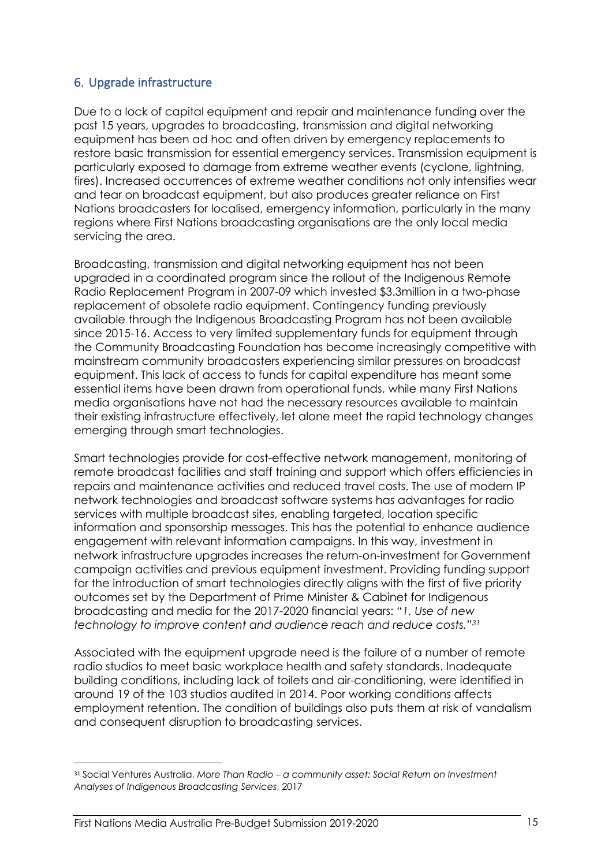### 6. Upgrade infrastructure

Due to a lock of capital equipment and repair and maintenance funding over the past 15 years, upgrades to broadcasting, transmission and digital networking equipment has been ad hoc and often driven by emergency replacements to restore basic transmission for essential emergency services. Transmission equipment is particularly exposed to damage from extreme weather events (cyclone, lightning, fires). Increased occurrences of extreme weather conditions not only intensifies wear and tear on broadcast equipment, but also produces greater reliance on First Nations broadcasters for localised, emergency information, particularly in the many regions where First Nations broadcasting organisations are the only local media servicing the area.

Broadcasting, transmission and digital networking equipment has not been upgraded in a coordinated program since the rollout of the Indigenous Remote Radio Replacement Program in 2007-09 which invested \$3.3million in a two-phase replacement of obsolete radio equipment. Contingency funding previously available through the Indigenous Broadcasting Program has not been available since 2015-16. Access to very limited supplementary funds for equipment through the Community Broadcasting Foundation has become increasingly competitive with mainstream community broadcasters experiencing similar pressures on broadcast equipment. This lack of access to funds for capital expenditure has meant some essential items have been drawn from operational funds, while many First Nations media organisations have not had the necessary resources available to maintain their existing infrastructure effectively, let alone meet the rapid technology changes emerging through smart technologies.

Smart technologies provide for cost-effective network management, monitoring of remote broadcast facilities and staff training and support which offers efficiencies in repairs and maintenance activities and reduced travel costs. The use of modern IP network technologies and broadcast software systems has advantages for radio services with multiple broadcast sites, enabling targeted, location specific information and sponsorship messages. This has the potential to enhance audience engagement with relevant information campaigns. In this way, investment in network infrastructure upgrades increases the return-on-investment for Government campaign activities and previous equipment investment. Providing funding support for the introduction of smart technologies directly aligns with the first of five priority outcomes set by the Department of Prime Minister & Cabinet for Indigenous broadcasting and media for the 2017-2020 financial years: *"1. Use of new technology to improve content and audience reach and reduce costs."31*

Associated with the equipment upgrade need is the failure of a number of remote radio studios to meet basic workplace health and safety standards. Inadequate building conditions, including lack of toilets and air-conditioning, were identified in around 19 of the 103 studios audited in 2014. Poor working conditions affects employment retention. The condition of buildings also puts them at risk of vandalism and consequent disruption to broadcasting services.

 <sup>31</sup> Social Ventures Australia, *More Than Radio – a community asset: Social Return on Investment Analyses of Indigenous Broadcasting Services*, 2017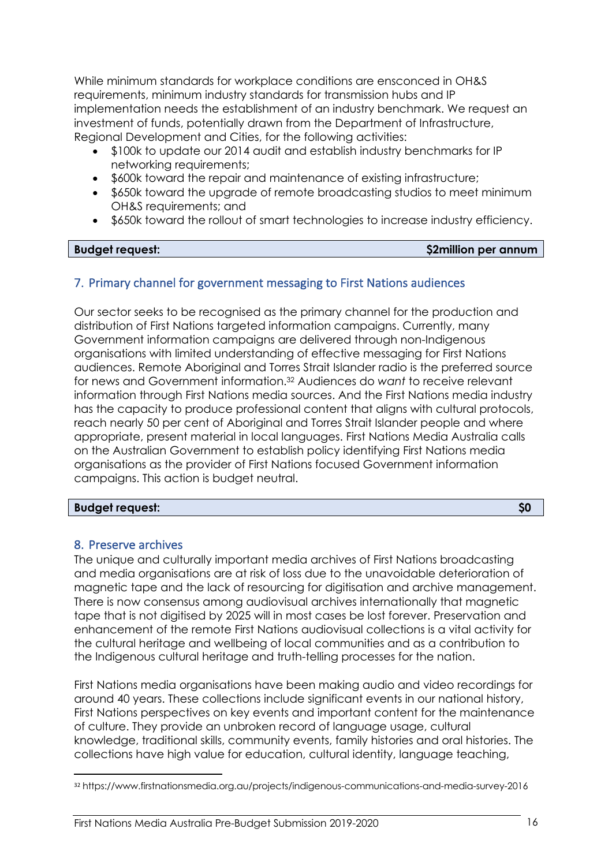While minimum standards for workplace conditions are ensconced in OH&S requirements, minimum industry standards for transmission hubs and IP implementation needs the establishment of an industry benchmark. We request an investment of funds, potentially drawn from the Department of Infrastructure, Regional Development and Cities, for the following activities:

- \$100k to update our 2014 audit and establish industry benchmarks for IP networking requirements;
- \$600k toward the repair and maintenance of existing infrastructure;
- \$650k toward the upgrade of remote broadcasting studios to meet minimum OH&S requirements; and
- \$650k toward the rollout of smart technologies to increase industry efficiency.

| \$2 million per annum<br><b>Budget request:</b> |
|-------------------------------------------------|
|-------------------------------------------------|

### 7. Primary channel for government messaging to First Nations audiences

Our sector seeks to be recognised as the primary channel for the production and distribution of First Nations targeted information campaigns. Currently, many Government information campaigns are delivered through non-Indigenous organisations with limited understanding of effective messaging for First Nations audiences. Remote Aboriginal and Torres Strait Islander radio is the preferred source for news and Government information.32 Audiences do *want* to receive relevant information through First Nations media sources. And the First Nations media industry has the capacity to produce professional content that aligns with cultural protocols, reach nearly 50 per cent of Aboriginal and Torres Strait Islander people and where appropriate, present material in local languages. First Nations Media Australia calls on the Australian Government to establish policy identifying First Nations media organisations as the provider of First Nations focused Government information campaigns. This action is budget neutral.

### **Budget request:** \$0

### 8. Preserve archives

The unique and culturally important media archives of First Nations broadcasting and media organisations are at risk of loss due to the unavoidable deterioration of magnetic tape and the lack of resourcing for digitisation and archive management. There is now consensus among audiovisual archives internationally that magnetic tape that is not digitised by 2025 will in most cases be lost forever. Preservation and enhancement of the remote First Nations audiovisual collections is a vital activity for the cultural heritage and wellbeing of local communities and as a contribution to the Indigenous cultural heritage and truth-telling processes for the nation.

First Nations media organisations have been making audio and video recordings for around 40 years. These collections include significant events in our national history, First Nations perspectives on key events and important content for the maintenance of culture. They provide an unbroken record of language usage, cultural knowledge, traditional skills, community events, family histories and oral histories. The collections have high value for education, cultural identity, language teaching,

 <sup>32</sup> https://www.firstnationsmedia.org.au/projects/indigenous-communications-and-media-survey-2016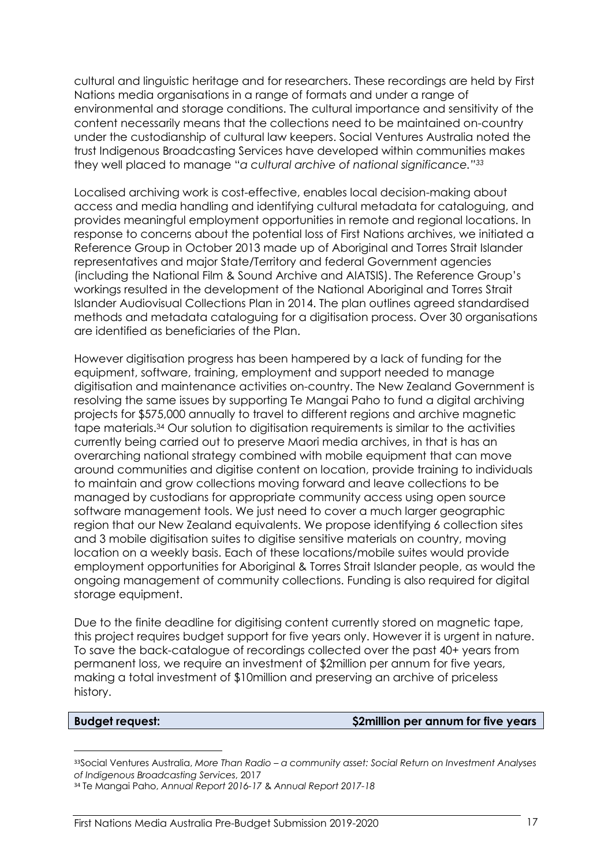cultural and linguistic heritage and for researchers. These recordings are held by First Nations media organisations in a range of formats and under a range of environmental and storage conditions. The cultural importance and sensitivity of the content necessarily means that the collections need to be maintained on-country under the custodianship of cultural law keepers. Social Ventures Australia noted the trust Indigenous Broadcasting Services have developed within communities makes they well placed to manage "*a cultural archive of national significance."33*

Localised archiving work is cost-effective, enables local decision-making about access and media handling and identifying cultural metadata for cataloguing, and provides meaningful employment opportunities in remote and regional locations. In response to concerns about the potential loss of First Nations archives, we initiated a Reference Group in October 2013 made up of Aboriginal and Torres Strait Islander representatives and major State/Territory and federal Government agencies (including the National Film & Sound Archive and AIATSIS). The Reference Group's workings resulted in the development of the National Aboriginal and Torres Strait Islander Audiovisual Collections Plan in 2014. The plan outlines agreed standardised methods and metadata cataloguing for a digitisation process. Over 30 organisations are identified as beneficiaries of the Plan.

However digitisation progress has been hampered by a lack of funding for the equipment, software, training, employment and support needed to manage digitisation and maintenance activities on-country. The New Zealand Government is resolving the same issues by supporting Te Mangai Paho to fund a digital archiving projects for \$575,000 annually to travel to different regions and archive magnetic tape materials.34 Our solution to digitisation requirements is similar to the activities currently being carried out to preserve Maori media archives, in that is has an overarching national strategy combined with mobile equipment that can move around communities and digitise content on location, provide training to individuals to maintain and grow collections moving forward and leave collections to be managed by custodians for appropriate community access using open source software management tools. We just need to cover a much larger geographic region that our New Zealand equivalents. We propose identifying 6 collection sites and 3 mobile digitisation suites to digitise sensitive materials on country, moving location on a weekly basis. Each of these locations/mobile suites would provide employment opportunities for Aboriginal & Torres Strait Islander people, as would the ongoing management of community collections. Funding is also required for digital storage equipment.

Due to the finite deadline for digitising content currently stored on magnetic tape, this project requires budget support for five years only. However it is urgent in nature. To save the back-catalogue of recordings collected over the past 40+ years from permanent loss, we require an investment of \$2million per annum for five years, making a total investment of \$10million and preserving an archive of priceless history.

### **Budget request: \$2million per annum for five years**

 <sup>33</sup>Social Ventures Australia, *More Than Radio – a community asset: Social Return on Investment Analyses of Indigenous Broadcasting Services*, 2017

<sup>34</sup> Te Mangai Paho, *Annual Report 2016-17* & *Annual Report 2017-18*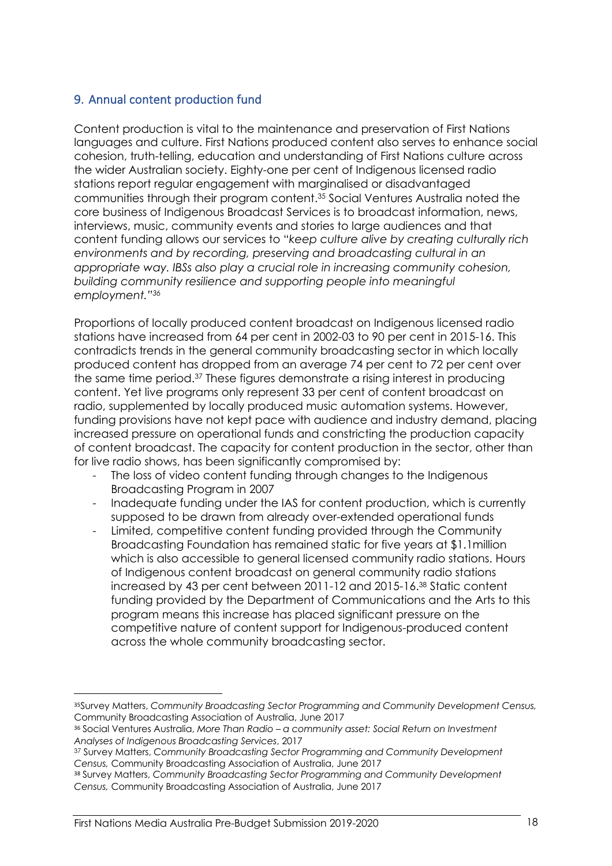### 9. Annual content production fund

Content production is vital to the maintenance and preservation of First Nations languages and culture. First Nations produced content also serves to enhance social cohesion, truth-telling, education and understanding of First Nations culture across the wider Australian society. Eighty-one per cent of Indigenous licensed radio stations report regular engagement with marginalised or disadvantaged communities through their program content.35 Social Ventures Australia noted the core business of Indigenous Broadcast Services is to broadcast information, news, interviews, music, community events and stories to large audiences and that content funding allows our services to "*keep culture alive by creating culturally rich environments and by recording, preserving and broadcasting cultural in an appropriate way. IBSs also play a crucial role in increasing community cohesion, building community resilience and supporting people into meaningful employment."36*

Proportions of locally produced content broadcast on Indigenous licensed radio stations have increased from 64 per cent in 2002-03 to 90 per cent in 2015-16. This contradicts trends in the general community broadcasting sector in which locally produced content has dropped from an average 74 per cent to 72 per cent over the same time period.37 These figures demonstrate a rising interest in producing content. Yet live programs only represent 33 per cent of content broadcast on radio, supplemented by locally produced music automation systems. However, funding provisions have not kept pace with audience and industry demand, placing increased pressure on operational funds and constricting the production capacity of content broadcast. The capacity for content production in the sector, other than for live radio shows, has been significantly compromised by:

- The loss of video content funding through changes to the Indigenous Broadcasting Program in 2007
- Inadequate funding under the IAS for content production, which is currently supposed to be drawn from already over-extended operational funds
- Limited, competitive content funding provided through the Community Broadcasting Foundation has remained static for five years at \$1.1million which is also accessible to general licensed community radio stations. Hours of Indigenous content broadcast on general community radio stations increased by 43 per cent between 2011-12 and 2015-16.38 Static content funding provided by the Department of Communications and the Arts to this program means this increase has placed significant pressure on the competitive nature of content support for Indigenous-produced content across the whole community broadcasting sector.

 <sup>35</sup>Survey Matters, *Community Broadcasting Sector Programming and Community Development Census,*  Community Broadcasting Association of Australia, June 2017

<sup>36</sup> Social Ventures Australia, *More Than Radio – a community asset: Social Return on Investment Analyses of Indigenous Broadcasting Services*, 2017

<sup>37</sup> Survey Matters, *Community Broadcasting Sector Programming and Community Development Census,* Community Broadcasting Association of Australia, June 2017

<sup>38</sup> Survey Matters, *Community Broadcasting Sector Programming and Community Development Census,* Community Broadcasting Association of Australia, June 2017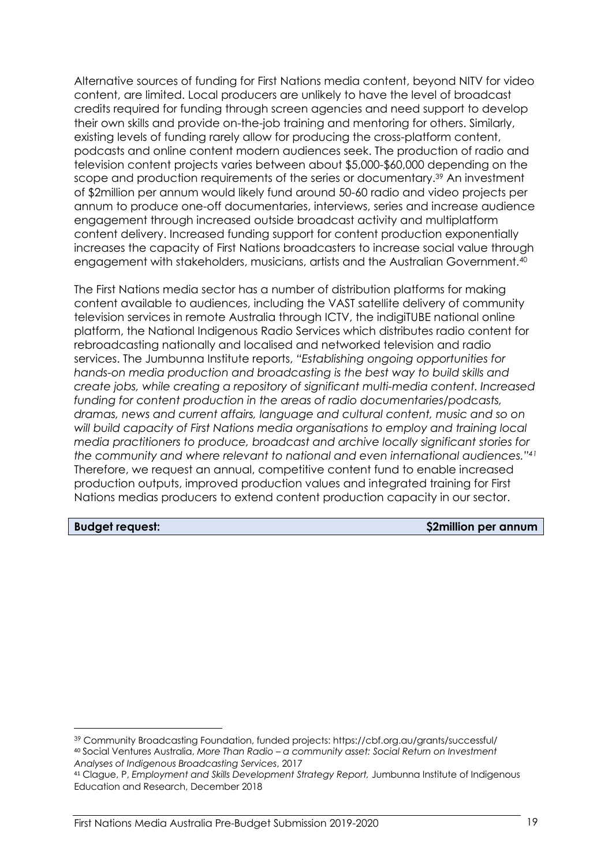Alternative sources of funding for First Nations media content, beyond NITV for video content, are limited. Local producers are unlikely to have the level of broadcast credits required for funding through screen agencies and need support to develop their own skills and provide on-the-job training and mentoring for others. Similarly, existing levels of funding rarely allow for producing the cross-platform content, podcasts and online content modern audiences seek. The production of radio and television content projects varies between about \$5,000-\$60,000 depending on the scope and production requirements of the series or documentary.<sup>39</sup> An investment of \$2million per annum would likely fund around 50-60 radio and video projects per annum to produce one-off documentaries, interviews, series and increase audience engagement through increased outside broadcast activity and multiplatform content delivery. Increased funding support for content production exponentially increases the capacity of First Nations broadcasters to increase social value through engagement with stakeholders, musicians, artists and the Australian Government.40

The First Nations media sector has a number of distribution platforms for making content available to audiences, including the VAST satellite delivery of community television services in remote Australia through ICTV, the indigiTUBE national online platform, the National Indigenous Radio Services which distributes radio content for rebroadcasting nationally and localised and networked television and radio services. The Jumbunna Institute reports, *"Establishing ongoing opportunities for hands-on media production and broadcasting is the best way to build skills and create jobs, while creating a repository of significant multi-media content. Increased funding for content production in the areas of radio documentaries/podcasts, dramas, news and current affairs, language and cultural content, music and so on will build capacity of First Nations media organisations to employ and training local media practitioners to produce, broadcast and archive locally significant stories for the community and where relevant to national and even international audiences."41* Therefore, we request an annual, competitive content fund to enable increased production outputs, improved production values and integrated training for First Nations medias producers to extend content production capacity in our sector.

 $\overline{a}$ 

**Budget request: \$2million per annum**

<sup>39</sup> Community Broadcasting Foundation, funded projects: https://cbf.org.au/grants/successful/ <sup>40</sup> Social Ventures Australia, *More Than Radio – a community asset: Social Return on Investment Analyses of Indigenous Broadcasting Services*, 2017

<sup>41</sup> Clague, P, *Employment and Skills Development Strategy Report,* Jumbunna Institute of Indigenous Education and Research, December 2018